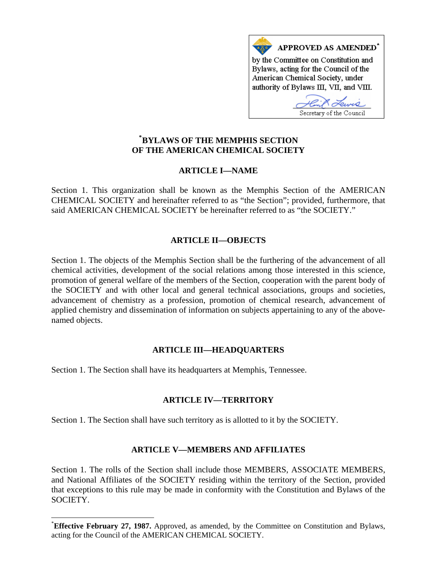

## **[\\*](#page-0-0) BYLAWS OF THE MEMPHIS SECTION OF THE AMERICAN CHEMICAL SOCIETY**

# **ARTICLE I—NAME**

Section 1. This organization shall be known as the Memphis Section of the AMERICAN CHEMICAL SOCIETY and hereinafter referred to as "the Section"; provided, furthermore, that said AMERICAN CHEMICAL SOCIETY be hereinafter referred to as "the SOCIETY."

## **ARTICLE II—OBJECTS**

Section 1. The objects of the Memphis Section shall be the furthering of the advancement of all chemical activities, development of the social relations among those interested in this science, promotion of general welfare of the members of the Section, cooperation with the parent body of the SOCIETY and with other local and general technical associations, groups and societies, advancement of chemistry as a profession, promotion of chemical research, advancement of applied chemistry and dissemination of information on subjects appertaining to any of the abovenamed objects.

## **ARTICLE III—HEADQUARTERS**

Section 1. The Section shall have its headquarters at Memphis, Tennessee.

 $\overline{a}$ 

## **ARTICLE IV—TERRITORY**

Section 1. The Section shall have such territory as is allotted to it by the SOCIETY.

## **ARTICLE V—MEMBERS AND AFFILIATES**

Section 1. The rolls of the Section shall include those MEMBERS, ASSOCIATE MEMBERS, and National Affiliates of the SOCIETY residing within the territory of the Section, provided that exceptions to this rule may be made in conformity with the Constitution and Bylaws of the SOCIETY.

<span id="page-0-0"></span><sup>\*</sup> **Effective February 27, 1987.** Approved, as amended, by the Committee on Constitution and Bylaws, acting for the Council of the AMERICAN CHEMICAL SOCIETY.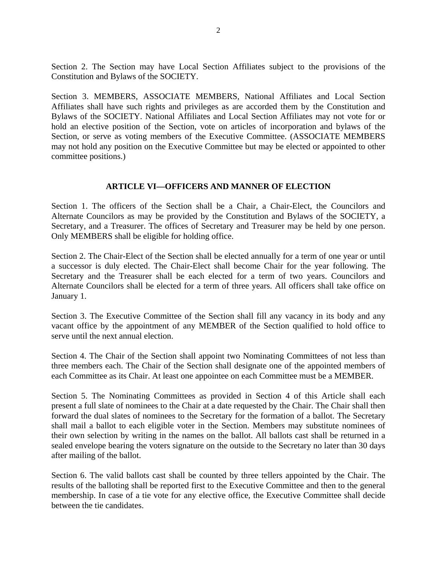Section 2. The Section may have Local Section Affiliates subject to the provisions of the Constitution and Bylaws of the SOCIETY.

Section 3. MEMBERS, ASSOCIATE MEMBERS, National Affiliates and Local Section Affiliates shall have such rights and privileges as are accorded them by the Constitution and Bylaws of the SOCIETY. National Affiliates and Local Section Affiliates may not vote for or hold an elective position of the Section, vote on articles of incorporation and bylaws of the Section, or serve as voting members of the Executive Committee. (ASSOCIATE MEMBERS may not hold any position on the Executive Committee but may be elected or appointed to other committee positions.)

### **ARTICLE VI—OFFICERS AND MANNER OF ELECTION**

Section 1. The officers of the Section shall be a Chair, a Chair-Elect, the Councilors and Alternate Councilors as may be provided by the Constitution and Bylaws of the SOCIETY, a Secretary, and a Treasurer. The offices of Secretary and Treasurer may be held by one person. Only MEMBERS shall be eligible for holding office.

Section 2. The Chair-Elect of the Section shall be elected annually for a term of one year or until a successor is duly elected. The Chair-Elect shall become Chair for the year following. The Secretary and the Treasurer shall be each elected for a term of two years. Councilors and Alternate Councilors shall be elected for a term of three years. All officers shall take office on January 1.

Section 3. The Executive Committee of the Section shall fill any vacancy in its body and any vacant office by the appointment of any MEMBER of the Section qualified to hold office to serve until the next annual election.

Section 4. The Chair of the Section shall appoint two Nominating Committees of not less than three members each. The Chair of the Section shall designate one of the appointed members of each Committee as its Chair. At least one appointee on each Committee must be a MEMBER.

Section 5. The Nominating Committees as provided in Section 4 of this Article shall each present a full slate of nominees to the Chair at a date requested by the Chair. The Chair shall then forward the dual slates of nominees to the Secretary for the formation of a ballot. The Secretary shall mail a ballot to each eligible voter in the Section. Members may substitute nominees of their own selection by writing in the names on the ballot. All ballots cast shall be returned in a sealed envelope bearing the voters signature on the outside to the Secretary no later than 30 days after mailing of the ballot.

Section 6. The valid ballots cast shall be counted by three tellers appointed by the Chair. The results of the balloting shall be reported first to the Executive Committee and then to the general membership. In case of a tie vote for any elective office, the Executive Committee shall decide between the tie candidates.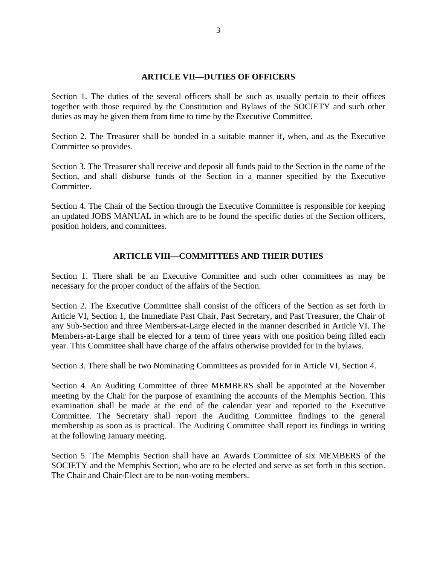#### **ARTICLE VII—DUTIES OF OFFICERS**

Section 1. The duties of the several officers shall be such as usually pertain to their offices together with those required by the Constitution and Bylaws of the SOCIETY and such other duties as may be given them from time to time by the Executive Committee.

Section 2. The Treasurer shall be bonded in a suitable manner if, when, and as the Executive Committee so provides.

Section 3. The Treasurer shall receive and deposit all funds paid to the Section in the name of the Section, and shall disburse funds of the Section in a manner specified by the Executive Committee.

Section 4. The Chair of the Section through the Executive Committee is responsible for keeping an updated JOBS MANUAL in which are to be found the specific duties of the Section officers, position holders, and committees.

### **ARTICLE VIII—COMMITTEES AND THEIR DUTIES**

Section 1. There shall be an Executive Committee and such other committees as may be necessary for the proper conduct of the affairs of the Section.

Section 2. The Executive Committee shall consist of the officers of the Section as set forth in Article VI, Section 1, the Immediate Past Chair, Past Secretary, and Past Treasurer, the Chair of any Sub-Section and three Members-at-Large elected in the manner described in Article VI. The Members-at-Large shall be elected for a term of three years with one position being filled each year. This Committee shall have charge of the affairs otherwise provided for in the bylaws.

Section 3. There shall be two Nominating Committees as provided for in Article VI, Section 4.

Section 4. An Auditing Committee of three MEMBERS shall be appointed at the November meeting by the Chair for the purpose of examining the accounts of the Memphis Section. This examination shall be made at the end of the calendar year and reported to the Executive Committee. The Secretary shall report the Auditing Committee findings to the general membership as soon as is practical. The Auditing Committee shall report its findings in writing at the following January meeting.

Section 5. The Memphis Section shall have an Awards Committee of six MEMBERS of the SOCIETY and the Memphis Section, who are to be elected and serve as set forth in this section. The Chair and Chair-Elect are to be non-voting members.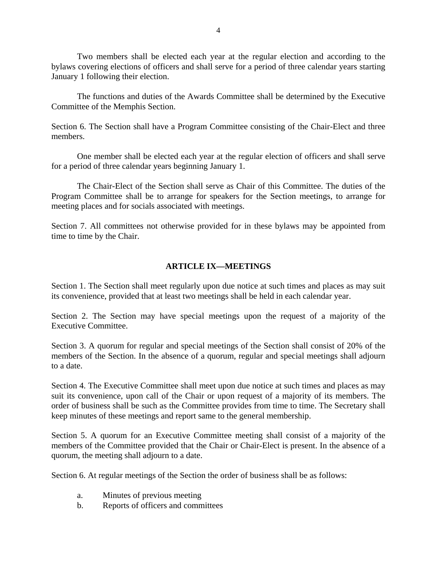Two members shall be elected each year at the regular election and according to the bylaws covering elections of officers and shall serve for a period of three calendar years starting January 1 following their election.

 The functions and duties of the Awards Committee shall be determined by the Executive Committee of the Memphis Section.

Section 6. The Section shall have a Program Committee consisting of the Chair-Elect and three members.

 One member shall be elected each year at the regular election of officers and shall serve for a period of three calendar years beginning January 1.

 The Chair-Elect of the Section shall serve as Chair of this Committee. The duties of the Program Committee shall be to arrange for speakers for the Section meetings, to arrange for meeting places and for socials associated with meetings.

Section 7. All committees not otherwise provided for in these bylaws may be appointed from time to time by the Chair.

### **ARTICLE IX—MEETINGS**

Section 1. The Section shall meet regularly upon due notice at such times and places as may suit its convenience, provided that at least two meetings shall be held in each calendar year.

Section 2. The Section may have special meetings upon the request of a majority of the Executive Committee.

Section 3. A quorum for regular and special meetings of the Section shall consist of 20% of the members of the Section. In the absence of a quorum, regular and special meetings shall adjourn to a date.

Section 4. The Executive Committee shall meet upon due notice at such times and places as may suit its convenience, upon call of the Chair or upon request of a majority of its members. The order of business shall be such as the Committee provides from time to time. The Secretary shall keep minutes of these meetings and report same to the general membership.

Section 5. A quorum for an Executive Committee meeting shall consist of a majority of the members of the Committee provided that the Chair or Chair-Elect is present. In the absence of a quorum, the meeting shall adjourn to a date.

Section 6. At regular meetings of the Section the order of business shall be as follows:

- a. Minutes of previous meeting
- b. Reports of officers and committees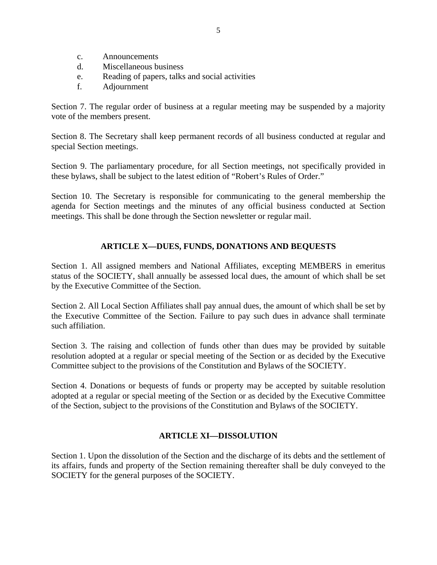- c. Announcements
- d. Miscellaneous business
- e. Reading of papers, talks and social activities
- f. Adjournment

Section 7. The regular order of business at a regular meeting may be suspended by a majority vote of the members present.

Section 8. The Secretary shall keep permanent records of all business conducted at regular and special Section meetings.

Section 9. The parliamentary procedure, for all Section meetings, not specifically provided in these bylaws, shall be subject to the latest edition of "Robert's Rules of Order."

Section 10. The Secretary is responsible for communicating to the general membership the agenda for Section meetings and the minutes of any official business conducted at Section meetings. This shall be done through the Section newsletter or regular mail.

## **ARTICLE X—DUES, FUNDS, DONATIONS AND BEQUESTS**

Section 1. All assigned members and National Affiliates, excepting MEMBERS in emeritus status of the SOCIETY, shall annually be assessed local dues, the amount of which shall be set by the Executive Committee of the Section.

Section 2. All Local Section Affiliates shall pay annual dues, the amount of which shall be set by the Executive Committee of the Section. Failure to pay such dues in advance shall terminate such affiliation.

Section 3. The raising and collection of funds other than dues may be provided by suitable resolution adopted at a regular or special meeting of the Section or as decided by the Executive Committee subject to the provisions of the Constitution and Bylaws of the SOCIETY.

Section 4. Donations or bequests of funds or property may be accepted by suitable resolution adopted at a regular or special meeting of the Section or as decided by the Executive Committee of the Section, subject to the provisions of the Constitution and Bylaws of the SOCIETY.

## **ARTICLE XI—DISSOLUTION**

Section 1. Upon the dissolution of the Section and the discharge of its debts and the settlement of its affairs, funds and property of the Section remaining thereafter shall be duly conveyed to the SOCIETY for the general purposes of the SOCIETY.